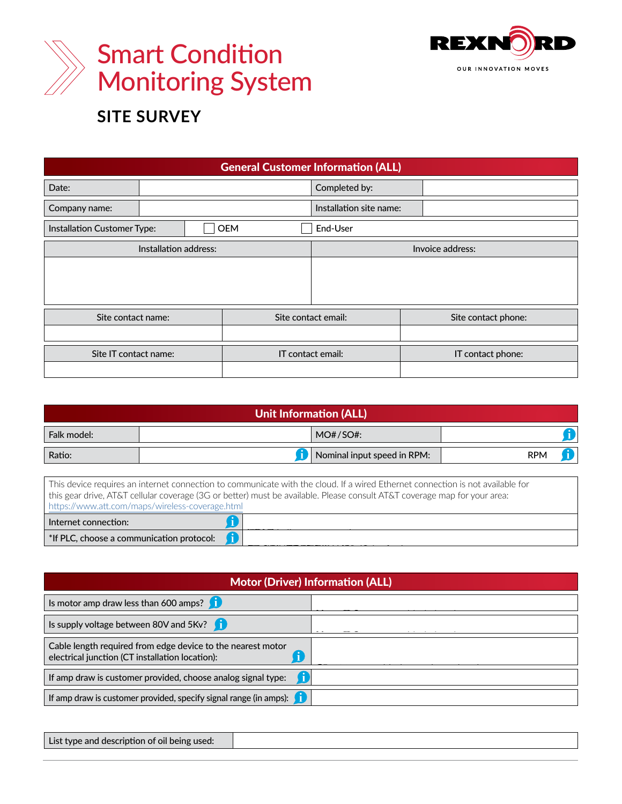



## **SITE SURVEY**

| <b>General Customer Information (ALL)</b>                                                                                                                                                                                                                                                                                                                                                                                                                   |                                  |                                                                                                                                                            |                             |            |                                                                                                                          |  |  |  |  |  |
|-------------------------------------------------------------------------------------------------------------------------------------------------------------------------------------------------------------------------------------------------------------------------------------------------------------------------------------------------------------------------------------------------------------------------------------------------------------|----------------------------------|------------------------------------------------------------------------------------------------------------------------------------------------------------|-----------------------------|------------|--------------------------------------------------------------------------------------------------------------------------|--|--|--|--|--|
| Date:                                                                                                                                                                                                                                                                                                                                                                                                                                                       |                                  |                                                                                                                                                            | Completed by:               |            |                                                                                                                          |  |  |  |  |  |
| Company name:                                                                                                                                                                                                                                                                                                                                                                                                                                               |                                  |                                                                                                                                                            | Installation site name:     |            |                                                                                                                          |  |  |  |  |  |
| <b>OEM</b><br>Installation Customer Type:                                                                                                                                                                                                                                                                                                                                                                                                                   |                                  |                                                                                                                                                            | End-User                    |            |                                                                                                                          |  |  |  |  |  |
| Installation address:                                                                                                                                                                                                                                                                                                                                                                                                                                       |                                  |                                                                                                                                                            | Invoice address:            |            |                                                                                                                          |  |  |  |  |  |
|                                                                                                                                                                                                                                                                                                                                                                                                                                                             |                                  |                                                                                                                                                            |                             |            |                                                                                                                          |  |  |  |  |  |
| Site contact name:                                                                                                                                                                                                                                                                                                                                                                                                                                          |                                  |                                                                                                                                                            | Site contact email:         |            | Site contact phone:                                                                                                      |  |  |  |  |  |
|                                                                                                                                                                                                                                                                                                                                                                                                                                                             | Site IT contact name:            |                                                                                                                                                            | IT contact email:           |            | IT contact phone:                                                                                                        |  |  |  |  |  |
|                                                                                                                                                                                                                                                                                                                                                                                                                                                             |                                  | <u>I Init Inform</u><br>Gear Ratio. Used in                                                                                                                | <b>Dn</b> (ALL)             |            | Sales Order Number.<br>Unique identifier for each<br>drive as it left the factory.<br>Can be found on the<br>name plate. |  |  |  |  |  |
| Falk model:                                                                                                                                                                                                                                                                                                                                                                                                                                                 | smart vibration<br>calculations. |                                                                                                                                                            | 10#/SO#:                    |            | The expected/specified<br>speed of the input shaft.                                                                      |  |  |  |  |  |
| Ratio:                                                                                                                                                                                                                                                                                                                                                                                                                                                      |                                  | Ť                                                                                                                                                          | Nominal input speed in RPM: | <b>RPM</b> |                                                                                                                          |  |  |  |  |  |
| thicate with the cloud. If a wired Ethernet connection is not available for<br>This device regi<br>Will be used to determine how<br>this gear drive,<br>must be available. Please consult AT&T coverage map for your area:<br>data will be sent to Rexnord Connect<br>Dortal (Note: AC or bottor)<br>https://www.att<br>PLC communication method set at<br><b>Internet connect</b> time of manufacturing.<br>f<br>*If PLC, choose a communication protocol: |                                  |                                                                                                                                                            |                             |            |                                                                                                                          |  |  |  |  |  |
| Used to determine if amperage<br>is low enough for Rexnord<br>$X$ )n (ALL)<br>supplied CT. Is it A<br>Used to determine if voltage<br>is low enough for Rexnord<br>Is motor amp draw less than 600 amps?<br>supplied CT. Is it AC or DC?                                                                                                                                                                                                                    |                                  |                                                                                                                                                            |                             |            |                                                                                                                          |  |  |  |  |  |
| If using a Rexnord supplied<br>O<br>Is supply voltage between 80V and 5Kv?                                                                                                                                                                                                                                                                                                                                                                                  |                                  |                                                                                                                                                            |                             |            |                                                                                                                          |  |  |  |  |  |
| Cable length required from edge device to the nearest m<br>electrical junction (CT installation location):<br>If amp draw is customer provided, choose analog signal                                                                                                                                                                                                                                                                                        |                                  | CT how long of a cable will<br>be needed?<br>0-5V dc or 4-20mA set at<br>What is the scale of the signal 0=0,<br>$5V$ dc = $X$ or $20mA = X$ . Set at time | $\overline{\mathsf{x}}$     |            |                                                                                                                          |  |  |  |  |  |
| of manufacture?<br>Ť.<br>If amp draw is customer provided, specify signal range (in amps):                                                                                                                                                                                                                                                                                                                                                                  |                                  |                                                                                                                                                            |                             |            |                                                                                                                          |  |  |  |  |  |

List type and description of oil being used: